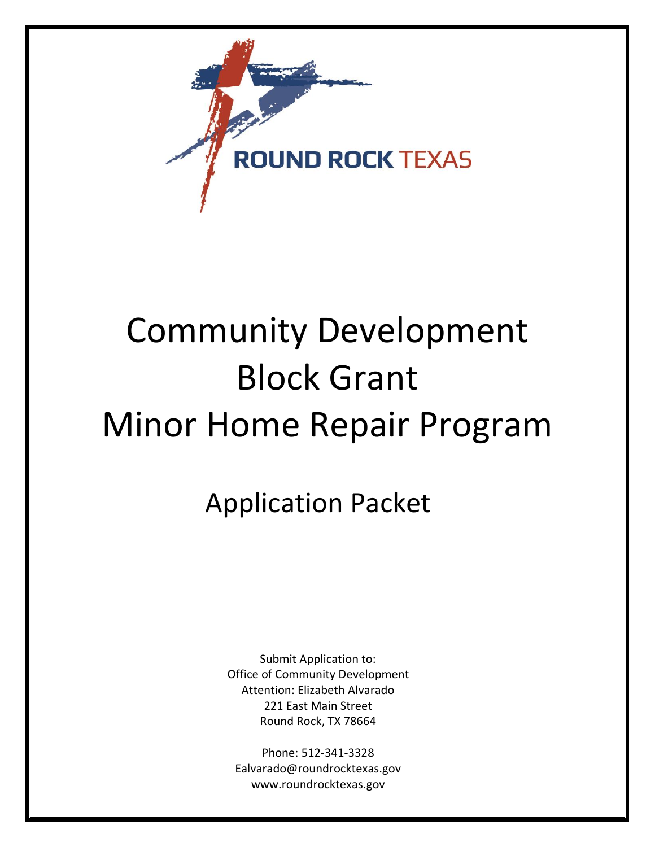

# Community Development Block Grant Minor Home Repair Program

Application Packet

Submit Application to: Office of Community Development Attention: Elizabeth Alvarado 221 East Main Street Round Rock, TX 78664

Phone: 512-341-3328 Ealvarado@roundrocktexas.gov www.roundrocktexas.gov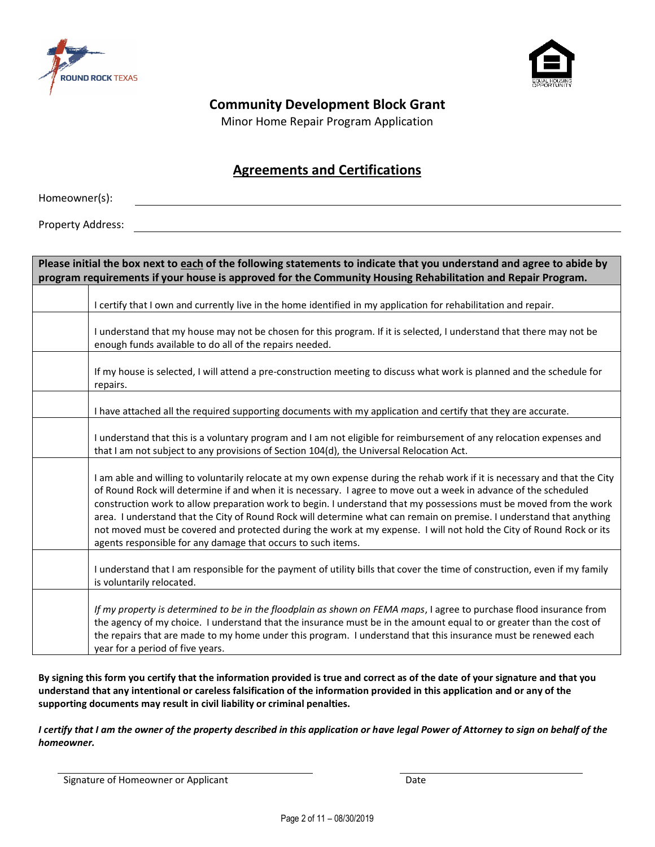



### **Community Development Block Grant**

Minor Home Repair Program Application

### **Agreements and Certifications**

Homeowner(s):

Property Address:

| Please initial the box next to each of the following statements to indicate that you understand and agree to abide by<br>program requirements if your house is approved for the Community Housing Rehabilitation and Repair Program.                                                                                                                                                                                                                                                                                                                                                                                                                                                 |
|--------------------------------------------------------------------------------------------------------------------------------------------------------------------------------------------------------------------------------------------------------------------------------------------------------------------------------------------------------------------------------------------------------------------------------------------------------------------------------------------------------------------------------------------------------------------------------------------------------------------------------------------------------------------------------------|
| I certify that I own and currently live in the home identified in my application for rehabilitation and repair.                                                                                                                                                                                                                                                                                                                                                                                                                                                                                                                                                                      |
| I understand that my house may not be chosen for this program. If it is selected, I understand that there may not be<br>enough funds available to do all of the repairs needed.                                                                                                                                                                                                                                                                                                                                                                                                                                                                                                      |
| If my house is selected, I will attend a pre-construction meeting to discuss what work is planned and the schedule for<br>repairs.                                                                                                                                                                                                                                                                                                                                                                                                                                                                                                                                                   |
| I have attached all the required supporting documents with my application and certify that they are accurate.                                                                                                                                                                                                                                                                                                                                                                                                                                                                                                                                                                        |
| I understand that this is a voluntary program and I am not eligible for reimbursement of any relocation expenses and<br>that I am not subject to any provisions of Section 104(d), the Universal Relocation Act.                                                                                                                                                                                                                                                                                                                                                                                                                                                                     |
| I am able and willing to voluntarily relocate at my own expense during the rehab work if it is necessary and that the City<br>of Round Rock will determine if and when it is necessary. I agree to move out a week in advance of the scheduled<br>construction work to allow preparation work to begin. I understand that my possessions must be moved from the work<br>area. I understand that the City of Round Rock will determine what can remain on premise. I understand that anything<br>not moved must be covered and protected during the work at my expense. I will not hold the City of Round Rock or its<br>agents responsible for any damage that occurs to such items. |
| I understand that I am responsible for the payment of utility bills that cover the time of construction, even if my family<br>is voluntarily relocated.                                                                                                                                                                                                                                                                                                                                                                                                                                                                                                                              |
| If my property is determined to be in the floodplain as shown on FEMA maps, I agree to purchase flood insurance from<br>the agency of my choice. I understand that the insurance must be in the amount equal to or greater than the cost of<br>the repairs that are made to my home under this program. I understand that this insurance must be renewed each<br>year for a period of five years.                                                                                                                                                                                                                                                                                    |

**By signing this form you certify that the information provided is true and correct as of the date of your signature and that you understand that any intentional or careless falsification of the information provided in this application and or any of the supporting documents may result in civil liability or criminal penalties.**

*I certify that I am the owner of the property described in this application or have legal Power of Attorney to sign on behalf of the homeowner.*

Signature of Homeowner or Applicant Date Date Date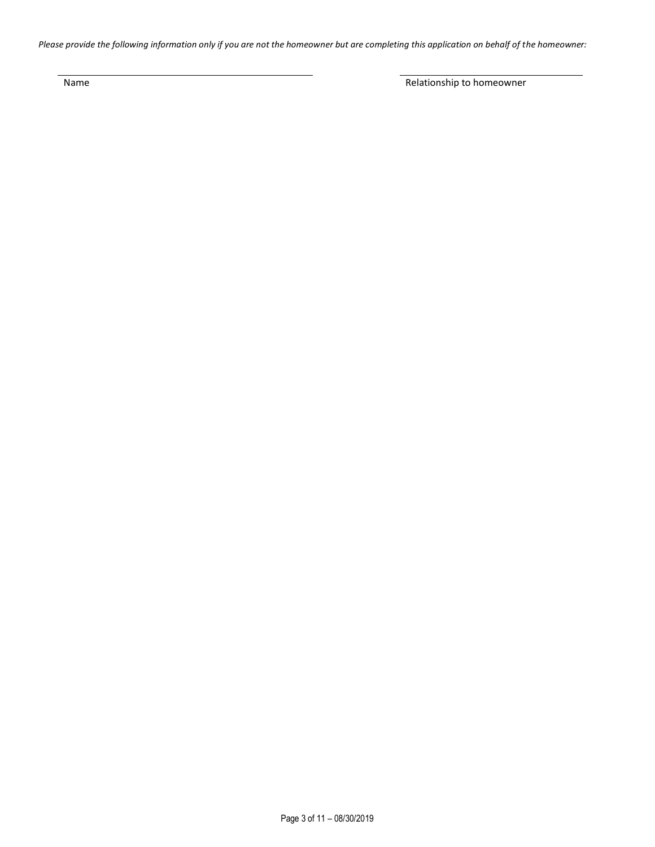*Please provide the following information only if you are not the homeowner but are completing this application on behalf of the homeowner:*

Name Relationship to homeowner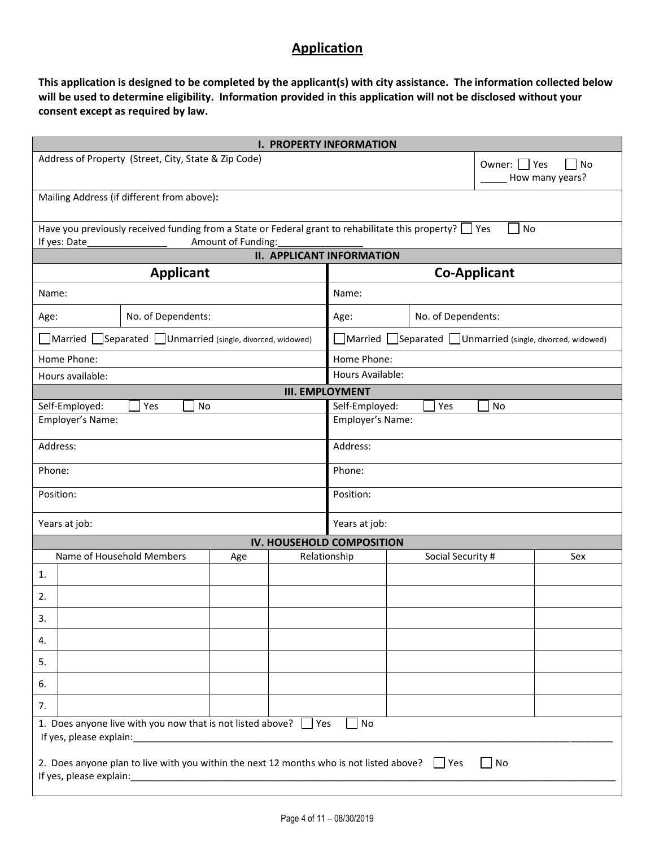### **Application**

**This application is designed to be completed by the applicant(s) with city assistance. The information collected below will be used to determine eligibility. Information provided in this application will not be disclosed without your consent except as required by law.** 

| <b>I. PROPERTY INFORMATION</b>                                                                                                      |                    |  |                                  |                                                                              |              |                       |  |
|-------------------------------------------------------------------------------------------------------------------------------------|--------------------|--|----------------------------------|------------------------------------------------------------------------------|--------------|-----------------------|--|
| Address of Property (Street, City, State & Zip Code)                                                                                |                    |  |                                  |                                                                              | Owner: □ Yes | No<br>How many years? |  |
| Mailing Address (if different from above):                                                                                          |                    |  |                                  |                                                                              |              |                       |  |
| Have you previously received funding from a State or Federal grant to rehabilitate this property? $\Box$ Yes                        |                    |  |                                  |                                                                              | No           |                       |  |
| If yes: Date                                                                                                                        | Amount of Funding: |  | <b>II. APPLICANT INFORMATION</b> |                                                                              |              |                       |  |
| <b>Applicant</b>                                                                                                                    |                    |  |                                  | <b>Co-Applicant</b>                                                          |              |                       |  |
|                                                                                                                                     |                    |  |                                  |                                                                              |              |                       |  |
| Name:                                                                                                                               |                    |  | Name:                            |                                                                              |              |                       |  |
| No. of Dependents:<br>Age:                                                                                                          |                    |  | Age:                             | No. of Dependents:                                                           |              |                       |  |
| Married Separated Unmarried (single, divorced, widowed)                                                                             |                    |  |                                  | $\Box$ Married $\Box$ Separated $\Box$ Unmarried (single, divorced, widowed) |              |                       |  |
| Home Phone:                                                                                                                         |                    |  | Home Phone:                      |                                                                              |              |                       |  |
| Hours available:                                                                                                                    |                    |  | Hours Available:                 |                                                                              |              |                       |  |
|                                                                                                                                     |                    |  | <b>III. EMPLOYMENT</b>           |                                                                              |              |                       |  |
| Self-Employed:<br>Yes<br><b>No</b>                                                                                                  |                    |  | Self-Employed:                   | Yes                                                                          | No           |                       |  |
| Employer's Name:                                                                                                                    |                    |  | Employer's Name:                 |                                                                              |              |                       |  |
| Address:                                                                                                                            |                    |  | Address:                         |                                                                              |              |                       |  |
| Phone:                                                                                                                              |                    |  | Phone:                           |                                                                              |              |                       |  |
| Position:                                                                                                                           |                    |  | Position:                        |                                                                              |              |                       |  |
| Years at job:                                                                                                                       |                    |  | Years at job:                    |                                                                              |              |                       |  |
|                                                                                                                                     |                    |  | IV. HOUSEHOLD COMPOSITION        |                                                                              |              |                       |  |
| Name of Household Members                                                                                                           | Age                |  | Relationship                     | Social Security #                                                            |              | Sex                   |  |
| 1.                                                                                                                                  |                    |  |                                  |                                                                              |              |                       |  |
| 2.                                                                                                                                  |                    |  |                                  |                                                                              |              |                       |  |
| 3.                                                                                                                                  |                    |  |                                  |                                                                              |              |                       |  |
| 4.                                                                                                                                  |                    |  |                                  |                                                                              |              |                       |  |
| 5.                                                                                                                                  |                    |  |                                  |                                                                              |              |                       |  |
| 6.                                                                                                                                  |                    |  |                                  |                                                                              |              |                       |  |
| 7.                                                                                                                                  |                    |  |                                  |                                                                              |              |                       |  |
| 1. Does anyone live with you now that is not listed above? $\Box$ Yes<br>No<br>If yes, please explain:                              |                    |  |                                  |                                                                              |              |                       |  |
| 2. Does anyone plan to live with you within the next 12 months who is not listed above? $\Box$ Yes<br>No<br>If yes, please explain: |                    |  |                                  |                                                                              |              |                       |  |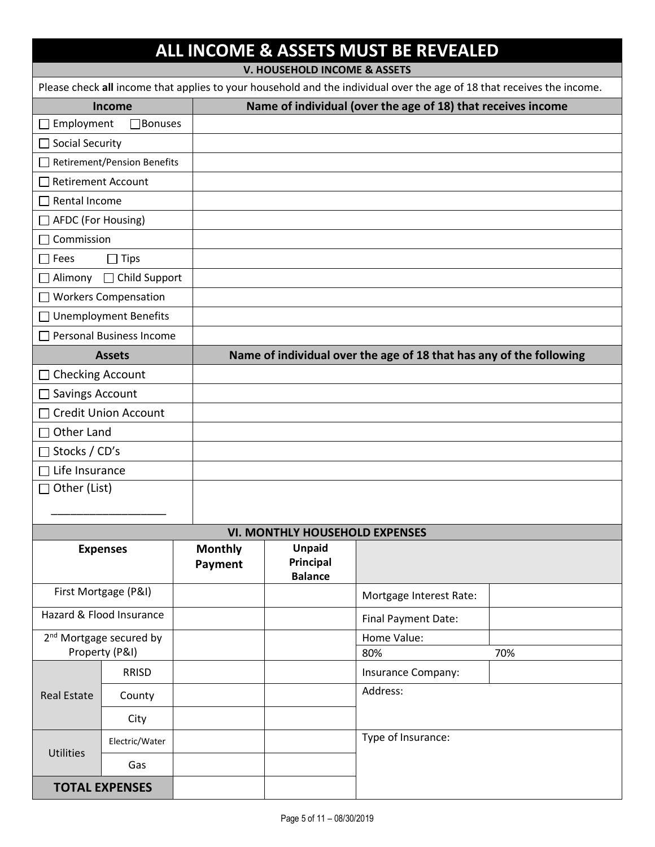## **ALL INCOME & ASSETS MUST BE REVEALED**

**V. HOUSEHOLD INCOME & ASSETS**

| Please check all income that applies to your household and the individual over the age of 18 that receives the income. |                                    |                |                                       |                                                                     |     |  |  |
|------------------------------------------------------------------------------------------------------------------------|------------------------------------|----------------|---------------------------------------|---------------------------------------------------------------------|-----|--|--|
|                                                                                                                        | <b>Income</b>                      |                |                                       | Name of individual (over the age of 18) that receives income        |     |  |  |
| Employment<br>$\mathsf{L}$                                                                                             | $\Box$ Bonuses                     |                |                                       |                                                                     |     |  |  |
| □ Social Security                                                                                                      |                                    |                |                                       |                                                                     |     |  |  |
|                                                                                                                        | <b>Retirement/Pension Benefits</b> |                |                                       |                                                                     |     |  |  |
| Retirement Account                                                                                                     |                                    |                |                                       |                                                                     |     |  |  |
| $\Box$ Rental Income                                                                                                   |                                    |                |                                       |                                                                     |     |  |  |
| AFDC (For Housing)                                                                                                     |                                    |                |                                       |                                                                     |     |  |  |
| Commission<br>$\Box$                                                                                                   |                                    |                |                                       |                                                                     |     |  |  |
| $\Box$ Fees                                                                                                            | <b>Tips</b>                        |                |                                       |                                                                     |     |  |  |
| $\Box$ Alimony                                                                                                         | □ Child Support                    |                |                                       |                                                                     |     |  |  |
| $\Box$                                                                                                                 | <b>Workers Compensation</b>        |                |                                       |                                                                     |     |  |  |
|                                                                                                                        | □ Unemployment Benefits            |                |                                       |                                                                     |     |  |  |
| ΙI                                                                                                                     | <b>Personal Business Income</b>    |                |                                       |                                                                     |     |  |  |
|                                                                                                                        | <b>Assets</b>                      |                |                                       | Name of individual over the age of 18 that has any of the following |     |  |  |
| <b>Checking Account</b><br>$\mathsf{L}$                                                                                |                                    |                |                                       |                                                                     |     |  |  |
| Savings Account                                                                                                        |                                    |                |                                       |                                                                     |     |  |  |
| $\mathsf{L}$                                                                                                           | <b>Credit Union Account</b>        |                |                                       |                                                                     |     |  |  |
| Other Land<br>$\mathsf{L}$                                                                                             |                                    |                |                                       |                                                                     |     |  |  |
| Stocks / CD's<br>П                                                                                                     |                                    |                |                                       |                                                                     |     |  |  |
| Life Insurance                                                                                                         |                                    |                |                                       |                                                                     |     |  |  |
| Other (List)<br>□                                                                                                      |                                    |                |                                       |                                                                     |     |  |  |
|                                                                                                                        |                                    |                |                                       |                                                                     |     |  |  |
|                                                                                                                        |                                    |                | <b>VI. MONTHLY HOUSEHOLD EXPENSES</b> |                                                                     |     |  |  |
|                                                                                                                        | <b>Expenses</b>                    | <b>Monthly</b> | <b>Unpaid</b>                         |                                                                     |     |  |  |
|                                                                                                                        |                                    | Payment        | Principal<br><b>Balance</b>           |                                                                     |     |  |  |
|                                                                                                                        | First Mortgage (P&I)               |                |                                       | Mortgage Interest Rate:                                             |     |  |  |
| Hazard & Flood Insurance                                                                                               |                                    |                |                                       | Final Payment Date:                                                 |     |  |  |
| 2 <sup>nd</sup> Mortgage secured by                                                                                    |                                    |                |                                       | Home Value:                                                         |     |  |  |
| Property (P&I)                                                                                                         |                                    |                |                                       | 80%                                                                 | 70% |  |  |
|                                                                                                                        | <b>RRISD</b>                       |                |                                       | Insurance Company:                                                  |     |  |  |
| <b>Real Estate</b>                                                                                                     | County                             |                |                                       | Address:                                                            |     |  |  |
|                                                                                                                        | City                               |                |                                       |                                                                     |     |  |  |
|                                                                                                                        | Electric/Water                     |                |                                       | Type of Insurance:                                                  |     |  |  |
| Utilities                                                                                                              | Gas                                |                |                                       |                                                                     |     |  |  |
|                                                                                                                        | <b>TOTAL EXPENSES</b>              |                |                                       |                                                                     |     |  |  |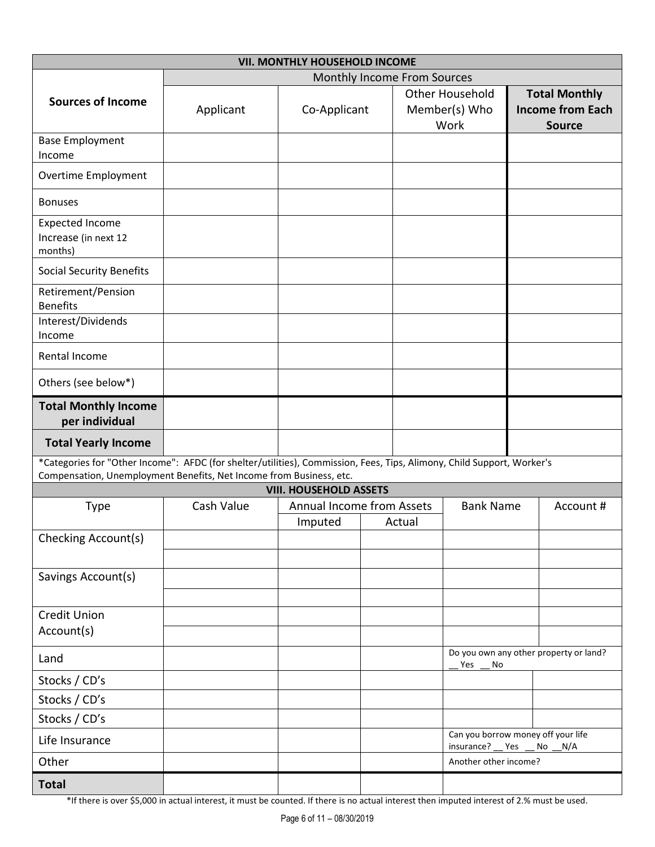|                                                                                                                        | <b>VII. MONTHLY HOUSEHOLD INCOME</b> |                                                            |  |        |                                                  |                                          |                                        |  |
|------------------------------------------------------------------------------------------------------------------------|--------------------------------------|------------------------------------------------------------|--|--------|--------------------------------------------------|------------------------------------------|----------------------------------------|--|
|                                                                                                                        | Monthly Income From Sources          |                                                            |  |        |                                                  |                                          |                                        |  |
| <b>Sources of Income</b>                                                                                               |                                      |                                                            |  |        | <b>Other Household</b>                           | <b>Total Monthly</b>                     |                                        |  |
|                                                                                                                        | Applicant                            | Co-Applicant                                               |  |        | Member(s) Who<br>Work                            | <b>Income from Each</b><br><b>Source</b> |                                        |  |
| <b>Base Employment</b>                                                                                                 |                                      |                                                            |  |        |                                                  |                                          |                                        |  |
| Income                                                                                                                 |                                      |                                                            |  |        |                                                  |                                          |                                        |  |
| Overtime Employment                                                                                                    |                                      |                                                            |  |        |                                                  |                                          |                                        |  |
| <b>Bonuses</b>                                                                                                         |                                      |                                                            |  |        |                                                  |                                          |                                        |  |
| <b>Expected Income</b>                                                                                                 |                                      |                                                            |  |        |                                                  |                                          |                                        |  |
| Increase (in next 12<br>months)                                                                                        |                                      |                                                            |  |        |                                                  |                                          |                                        |  |
| <b>Social Security Benefits</b>                                                                                        |                                      |                                                            |  |        |                                                  |                                          |                                        |  |
| Retirement/Pension<br><b>Benefits</b>                                                                                  |                                      |                                                            |  |        |                                                  |                                          |                                        |  |
| Interest/Dividends                                                                                                     |                                      |                                                            |  |        |                                                  |                                          |                                        |  |
| Income                                                                                                                 |                                      |                                                            |  |        |                                                  |                                          |                                        |  |
| Rental Income                                                                                                          |                                      |                                                            |  |        |                                                  |                                          |                                        |  |
| Others (see below*)                                                                                                    |                                      |                                                            |  |        |                                                  |                                          |                                        |  |
| <b>Total Monthly Income</b><br>per individual                                                                          |                                      |                                                            |  |        |                                                  |                                          |                                        |  |
| <b>Total Yearly Income</b>                                                                                             |                                      |                                                            |  |        |                                                  |                                          |                                        |  |
| *Categories for "Other Income": AFDC (for shelter/utilities), Commission, Fees, Tips, Alimony, Child Support, Worker's |                                      |                                                            |  |        |                                                  |                                          |                                        |  |
| Compensation, Unemployment Benefits, Net Income from Business, etc.                                                    |                                      |                                                            |  |        |                                                  |                                          |                                        |  |
|                                                                                                                        | Cash Value                           | <b>VIII. HOUSEHOLD ASSETS</b><br>Annual Income from Assets |  |        |                                                  |                                          | Account #                              |  |
| Type                                                                                                                   |                                      | Imputed                                                    |  | Actual | <b>Bank Name</b>                                 |                                          |                                        |  |
| Checking Account(s)                                                                                                    |                                      |                                                            |  |        |                                                  |                                          |                                        |  |
|                                                                                                                        |                                      |                                                            |  |        |                                                  |                                          |                                        |  |
| Savings Account(s)                                                                                                     |                                      |                                                            |  |        |                                                  |                                          |                                        |  |
|                                                                                                                        |                                      |                                                            |  |        |                                                  |                                          |                                        |  |
| <b>Credit Union</b>                                                                                                    |                                      |                                                            |  |        |                                                  |                                          |                                        |  |
| Account(s)                                                                                                             |                                      |                                                            |  |        |                                                  |                                          |                                        |  |
| Land                                                                                                                   |                                      |                                                            |  |        | Yes<br>No                                        |                                          | Do you own any other property or land? |  |
| Stocks / CD's                                                                                                          |                                      |                                                            |  |        |                                                  |                                          |                                        |  |
| Stocks / CD's                                                                                                          |                                      |                                                            |  |        |                                                  |                                          |                                        |  |
| Stocks / CD's                                                                                                          |                                      |                                                            |  |        |                                                  |                                          |                                        |  |
| Life Insurance                                                                                                         |                                      |                                                            |  |        | Can you borrow money off your life<br>insurance? | Yes                                      | N/A<br>No                              |  |
| Other                                                                                                                  |                                      |                                                            |  |        | Another other income?                            |                                          |                                        |  |
| <b>Total</b>                                                                                                           |                                      |                                                            |  |        |                                                  |                                          |                                        |  |

\*If there is over \$5,000 in actual interest, it must be counted. If there is no actual interest then imputed interest of 2.% must be used.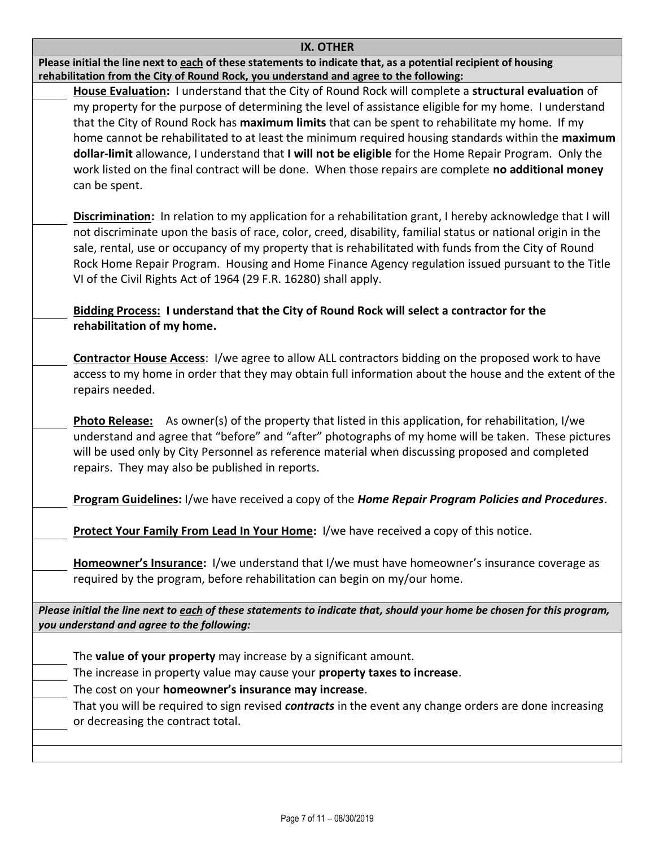| <b>IX. OTHER</b>                                                                                                                                                                                                      |
|-----------------------------------------------------------------------------------------------------------------------------------------------------------------------------------------------------------------------|
| Please initial the line next to each of these statements to indicate that, as a potential recipient of housing<br>rehabilitation from the City of Round Rock, you understand and agree to the following:              |
| House Evaluation: I understand that the City of Round Rock will complete a structural evaluation of<br>my property for the purpose of determining the level of assistance eligible for my home. I understand          |
| that the City of Round Rock has maximum limits that can be spent to rehabilitate my home. If my                                                                                                                       |
| home cannot be rehabilitated to at least the minimum required housing standards within the maximum                                                                                                                    |
| dollar-limit allowance, I understand that I will not be eligible for the Home Repair Program. Only the<br>work listed on the final contract will be done. When those repairs are complete no additional money         |
| can be spent.                                                                                                                                                                                                         |
| Discrimination: In relation to my application for a rehabilitation grant, I hereby acknowledge that I will                                                                                                            |
| not discriminate upon the basis of race, color, creed, disability, familial status or national origin in the<br>sale, rental, use or occupancy of my property that is rehabilitated with funds from the City of Round |
| Rock Home Repair Program. Housing and Home Finance Agency regulation issued pursuant to the Title<br>VI of the Civil Rights Act of 1964 (29 F.R. 16280) shall apply.                                                  |
| Bidding Process: I understand that the City of Round Rock will select a contractor for the                                                                                                                            |
| rehabilitation of my home.                                                                                                                                                                                            |
| <b>Contractor House Access: I/we agree to allow ALL contractors bidding on the proposed work to have</b>                                                                                                              |
| access to my home in order that they may obtain full information about the house and the extent of the                                                                                                                |
| repairs needed.                                                                                                                                                                                                       |
| <b>Photo Release:</b> As owner(s) of the property that listed in this application, for rehabilitation, I/we                                                                                                           |
| understand and agree that "before" and "after" photographs of my home will be taken. These pictures                                                                                                                   |
| will be used only by City Personnel as reference material when discussing proposed and completed<br>repairs. They may also be published in reports.                                                                   |
| Program Guidelines: I/we have received a copy of the Home Repair Program Policies and Procedures.                                                                                                                     |
| Protect Your Family From Lead In Your Home: I/we have received a copy of this notice.                                                                                                                                 |
| Homeowner's Insurance: I/we understand that I/we must have homeowner's insurance coverage as                                                                                                                          |
| required by the program, before rehabilitation can begin on my/our home.                                                                                                                                              |
| Please initial the line next to each of these statements to indicate that, should your home be chosen for this program,<br>you understand and agree to the following:                                                 |
|                                                                                                                                                                                                                       |
| The value of your property may increase by a significant amount.                                                                                                                                                      |
| The increase in property value may cause your property taxes to increase.                                                                                                                                             |
| The cost on your homeowner's insurance may increase.                                                                                                                                                                  |
| That you will be required to sign revised <b>contracts</b> in the event any change orders are done increasing<br>or decreasing the contract total.                                                                    |
|                                                                                                                                                                                                                       |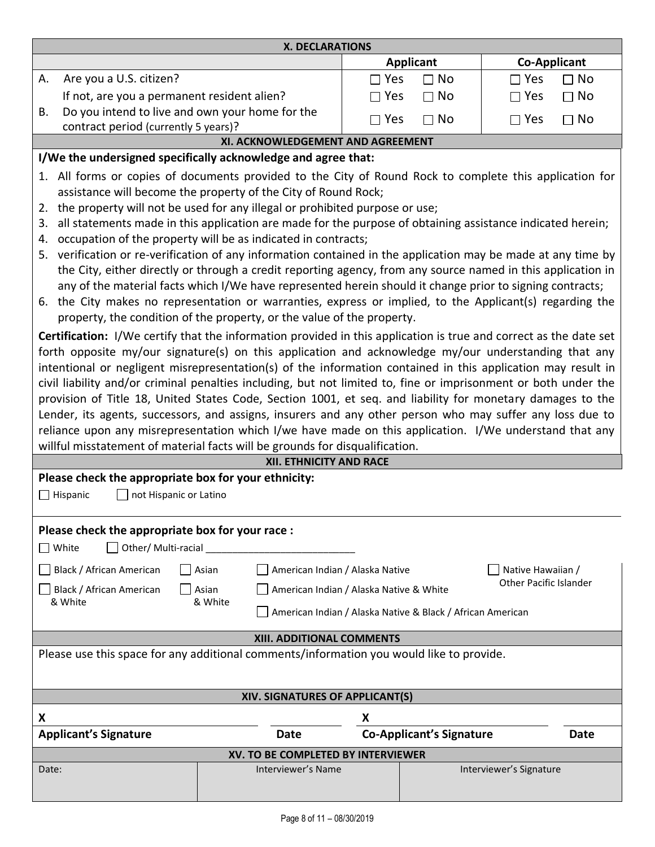| <b>X. DECLARATIONS</b>                                                                                                                                                                                                                                                                                                                                                                                                                                                                                                                                                                                                                                                                        |                                         |                           |  |  |  |  |  |
|-----------------------------------------------------------------------------------------------------------------------------------------------------------------------------------------------------------------------------------------------------------------------------------------------------------------------------------------------------------------------------------------------------------------------------------------------------------------------------------------------------------------------------------------------------------------------------------------------------------------------------------------------------------------------------------------------|-----------------------------------------|---------------------------|--|--|--|--|--|
|                                                                                                                                                                                                                                                                                                                                                                                                                                                                                                                                                                                                                                                                                               | <b>Applicant</b><br><b>Co-Applicant</b> |                           |  |  |  |  |  |
| Are you a U.S. citizen?<br>А.                                                                                                                                                                                                                                                                                                                                                                                                                                                                                                                                                                                                                                                                 | $\Box$ Yes<br>$\Box$ No                 | $\Box$ Yes<br>$\sqcap$ No |  |  |  |  |  |
| If not, are you a permanent resident alien?                                                                                                                                                                                                                                                                                                                                                                                                                                                                                                                                                                                                                                                   | $\Box$ Yes<br>$\Box$ No                 | $\sqcap$ Yes<br>$\Box$ No |  |  |  |  |  |
| Do you intend to live and own your home for the<br>В.<br>contract period (currently 5 years)?                                                                                                                                                                                                                                                                                                                                                                                                                                                                                                                                                                                                 | $\Box$ Yes<br>$\Box$ No                 | $\Box$ No<br>$\Box$ Yes   |  |  |  |  |  |
| XI. ACKNOWLEDGEMENT AND AGREEMENT                                                                                                                                                                                                                                                                                                                                                                                                                                                                                                                                                                                                                                                             |                                         |                           |  |  |  |  |  |
| I/We the undersigned specifically acknowledge and agree that:                                                                                                                                                                                                                                                                                                                                                                                                                                                                                                                                                                                                                                 |                                         |                           |  |  |  |  |  |
| 1. All forms or copies of documents provided to the City of Round Rock to complete this application for<br>assistance will become the property of the City of Round Rock;<br>the property will not be used for any illegal or prohibited purpose or use;<br>2.<br>all statements made in this application are made for the purpose of obtaining assistance indicated herein;<br>3.<br>occupation of the property will be as indicated in contracts;<br>4.<br>verification or re-verification of any information contained in the application may be made at any time by<br>5.<br>the City, either directly or through a credit reporting agency, from any source named in this application in |                                         |                           |  |  |  |  |  |
| any of the material facts which I/We have represented herein should it change prior to signing contracts;<br>the City makes no representation or warranties, express or implied, to the Applicant(s) regarding the<br>6.<br>property, the condition of the property, or the value of the property.<br>Certification: I/We certify that the information provided in this application is true and correct as the date set                                                                                                                                                                                                                                                                       |                                         |                           |  |  |  |  |  |

forth opposite my/our signature(s) on this application and acknowledge my/our understanding that any intentional or negligent misrepresentation(s) of the information contained in this application may result in civil liability and/or criminal penalties including, but not limited to, fine or imprisonment or both under the provision of Title 18, United States Code, Section 1001, et seq. and liability for monetary damages to the Lender, its agents, successors, and assigns, insurers and any other person who may suffer any loss due to reliance upon any misrepresentation which I/we have made on this application. I/We understand that any willful misstatement of material facts will be grounds for disqualification.

| <b>XII. ETHNICITY AND RACE</b>                                                                                                                                                             |       |                                  |                                         |  |                         |  |  |
|--------------------------------------------------------------------------------------------------------------------------------------------------------------------------------------------|-------|----------------------------------|-----------------------------------------|--|-------------------------|--|--|
| Please check the appropriate box for your ethnicity:                                                                                                                                       |       |                                  |                                         |  |                         |  |  |
| $\Box$ not Hispanic or Latino<br>$\Box$ Hispanic                                                                                                                                           |       |                                  |                                         |  |                         |  |  |
| Please check the appropriate box for your race :<br>Other/ Multi-racial<br>White<br>Black / African American                                                                               | Asian | American Indian / Alaska Native  |                                         |  | Native Hawaiian /       |  |  |
| Other Pacific Islander<br>Black / African American<br>American Indian / Alaska Native & White<br>Asian<br>& White<br>& White<br>American Indian / Alaska Native & Black / African American |       |                                  |                                         |  |                         |  |  |
|                                                                                                                                                                                            |       | <b>XIII. ADDITIONAL COMMENTS</b> |                                         |  |                         |  |  |
| Please use this space for any additional comments/information you would like to provide.                                                                                                   |       |                                  |                                         |  |                         |  |  |
|                                                                                                                                                                                            |       | XIV. SIGNATURES OF APPLICANT(S)  |                                         |  |                         |  |  |
| X                                                                                                                                                                                          |       |                                  | х                                       |  |                         |  |  |
| <b>Applicant's Signature</b>                                                                                                                                                               |       | Date                             | <b>Co-Applicant's Signature</b><br>Date |  |                         |  |  |
| XV. TO BE COMPLETED BY INTERVIEWER                                                                                                                                                         |       |                                  |                                         |  |                         |  |  |
| Date:                                                                                                                                                                                      |       | Interviewer's Name               |                                         |  | Interviewer's Signature |  |  |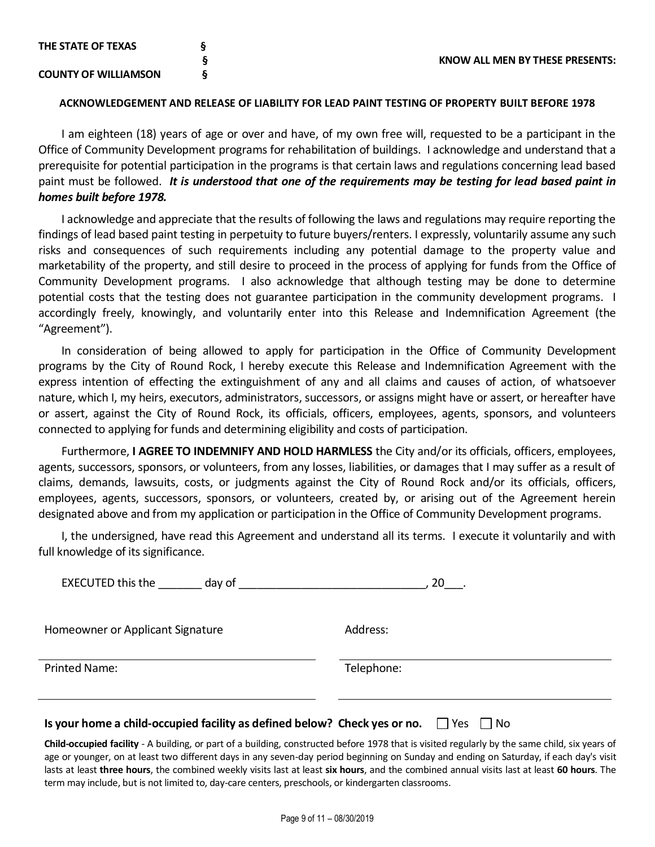#### **ACKNOWLEDGEMENT AND RELEASE OF LIABILITY FOR LEAD PAINT TESTING OF PROPERTY BUILT BEFORE 1978**

I am eighteen (18) years of age or over and have, of my own free will, requested to be a participant in the Office of Community Development programs for rehabilitation of buildings. I acknowledge and understand that a prerequisite for potential participation in the programs is that certain laws and regulations concerning lead based paint must be followed. *It is understood that one of the requirements may be testing for lead based paint in homes built before 1978.*

I acknowledge and appreciate that the results of following the laws and regulations may require reporting the findings of lead based paint testing in perpetuity to future buyers/renters. I expressly, voluntarily assume any such risks and consequences of such requirements including any potential damage to the property value and marketability of the property, and still desire to proceed in the process of applying for funds from the Office of Community Development programs. I also acknowledge that although testing may be done to determine potential costs that the testing does not guarantee participation in the community development programs. I accordingly freely, knowingly, and voluntarily enter into this Release and Indemnification Agreement (the "Agreement").

In consideration of being allowed to apply for participation in the Office of Community Development programs by the City of Round Rock, I hereby execute this Release and Indemnification Agreement with the express intention of effecting the extinguishment of any and all claims and causes of action, of whatsoever nature, which I, my heirs, executors, administrators, successors, or assigns might have or assert, or hereafter have or assert, against the City of Round Rock, its officials, officers, employees, agents, sponsors, and volunteers connected to applying for funds and determining eligibility and costs of participation.

Furthermore, **I AGREE TO INDEMNIFY AND HOLD HARMLESS** the City and/or its officials, officers, employees, agents, successors, sponsors, or volunteers, from any losses, liabilities, or damages that I may suffer as a result of claims, demands, lawsuits, costs, or judgments against the City of Round Rock and/or its officials, officers, employees, agents, successors, sponsors, or volunteers, created by, or arising out of the Agreement herein designated above and from my application or participation in the Office of Community Development programs.

I, the undersigned, have read this Agreement and understand all its terms. I execute it voluntarily and with full knowledge of its significance.

|                                                                                                                                                                                       | $20$ .     |
|---------------------------------------------------------------------------------------------------------------------------------------------------------------------------------------|------------|
| Homeowner or Applicant Signature                                                                                                                                                      | Address:   |
| Printed Name:                                                                                                                                                                         | Telephone: |
| Is your home a child-occupied facility as defined below? Check yes or no. $\Box$ Yes $\Box$ No<br>البالا البارية والمتحمد فاللبان والتافي والتقارب والتاريخ والتقارب والتقادم الترامة |            |

**Child-occupied facility** - A building, or part of a building, constructed before 1978 that is visited regularly by the same child, six years of age or younger, on at least two different days in any seven-day period beginning on Sunday and ending on Saturday, if each day's visit lasts at least **three hours**, the combined weekly visits last at least **six hours**, and the combined annual visits last at least **60 hours**. The term may include, but is not limited to, day-care centers, preschools, or kindergarten classrooms.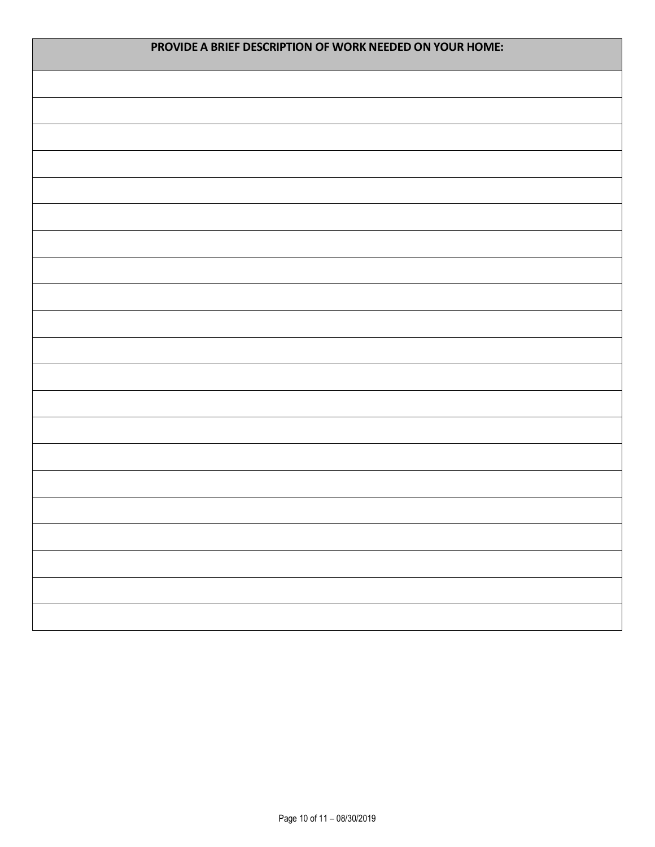| PROVIDE A BRIEF DESCRIPTION OF WORK NEEDED ON YOUR HOME: |  |  |  |  |  |
|----------------------------------------------------------|--|--|--|--|--|
|                                                          |  |  |  |  |  |
|                                                          |  |  |  |  |  |
|                                                          |  |  |  |  |  |
|                                                          |  |  |  |  |  |
|                                                          |  |  |  |  |  |
|                                                          |  |  |  |  |  |
|                                                          |  |  |  |  |  |
|                                                          |  |  |  |  |  |
|                                                          |  |  |  |  |  |
|                                                          |  |  |  |  |  |
|                                                          |  |  |  |  |  |
|                                                          |  |  |  |  |  |
|                                                          |  |  |  |  |  |
|                                                          |  |  |  |  |  |
|                                                          |  |  |  |  |  |
|                                                          |  |  |  |  |  |
|                                                          |  |  |  |  |  |
|                                                          |  |  |  |  |  |
|                                                          |  |  |  |  |  |
|                                                          |  |  |  |  |  |